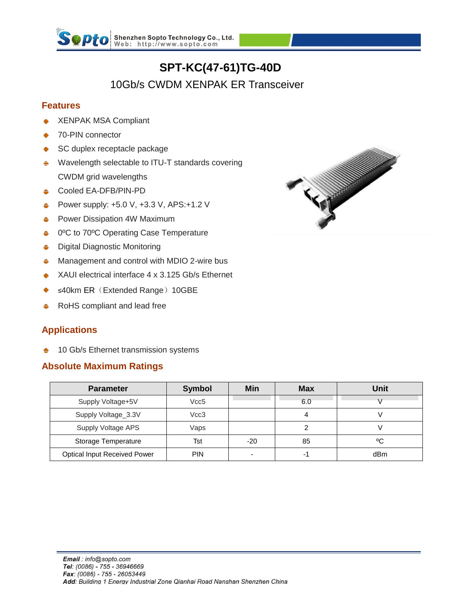

# **SPT-KC(47-61)TG-40D**

# 10Gb/s CWDM XENPAK ER Transceiver

### **Features**

- XENPAK MSA Compliant
- 70-PIN connector
- SC duplex receptacle package
- Wavelength selectable to ITU-T standards covering ÷ CWDM grid wavelengths
- **← Cooled EA-DFB/PIN-PD**
- Power supply: +5.0 V, +3.3 V, APS:+1.2 V
- Power Dissipation 4W Maximum ≐
- 0ºC to 70ºC Operating Case Temperature Δ
- Digital Diagnostic Monitoring Δ
- Management and control with MDIO 2-wire bus ۵
- XAUI electrical interface 4 x 3.125 Gb/s Ethernet
- ≤40km ER (Extended Range) 10GBE
- RoHS compliant and lead free ۵

### **Applications**

10 Gb/s Ethernet transmission systems ٠

### **Absolute Maximum Ratings**

| <b>Parameter</b>                    | <b>Symbol</b> | <b>Min</b>               | <b>Max</b> | Unit |
|-------------------------------------|---------------|--------------------------|------------|------|
| Supply Voltage+5V                   | Vcc5          |                          | 6.0        |      |
| Supply Voltage_3.3V                 | Vcc3          |                          | 4          |      |
| Supply Voltage APS                  | $\sqrt{aps}$  |                          |            |      |
| Storage Temperature                 | Tst           | $-20$                    | 85         | ٥C   |
| <b>Optical Input Received Power</b> | <b>PIN</b>    | $\overline{\phantom{a}}$ | -1         | dBm  |

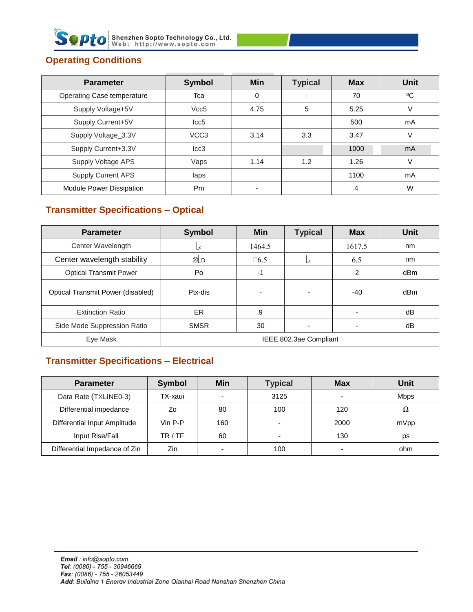

## **Operating Conditions**

| <b>Parameter</b>           | <b>Symbol</b>    | <b>Min</b> | <b>Typical</b> | <b>Max</b> | <b>Unit</b>    |
|----------------------------|------------------|------------|----------------|------------|----------------|
| Operating Case temperature | Tca              | 0          |                | 70         | °C             |
| Supply Voltage+5V          | Vcc <sub>5</sub> | 4.75       | 5              | 5.25       |                |
| Supply Current+5V          | lcc5             |            |                | 500        | mA             |
| Supply Voltage_3.3V        | VCC <sub>3</sub> | 3.14       | 3.3            | 3.47       |                |
| Supply Current+3.3V        | lcc3             |            |                | 1000       | m <sub>A</sub> |
| Supply Voltage APS         | Vaps             | 1.14       | 1.2            | 1.26       |                |
| <b>Supply Current APS</b>  | laps             |            |                | 1100       | mA             |
| Module Power Dissipation   | Pm               | ٠          |                | 4          | W              |

# **Transmitter Specifications – Optical**

| <b>Parameter</b>                  | <b>Symbol</b>          | <b>Min</b> | <b>Typical</b>         | <b>Max</b>     | <b>Unit</b> |  |
|-----------------------------------|------------------------|------------|------------------------|----------------|-------------|--|
| Center Wavelength                 | $\lfloor c \rfloor$    | 1464.5     |                        | 1617.5         | nm          |  |
| Center wavelength stability       | ⊗LD                    | $\Box 6.5$ | $\mathsf{L}\mathsf{c}$ | 6.5            | nm          |  |
| <b>Optical Transmit Power</b>     | Po                     | -1         |                        | $\overline{2}$ | dBm         |  |
| Optical Transmit Power (disabled) | Ptx-dis                |            |                        | -40            | dBm         |  |
| <b>Extinction Ratio</b>           | ER.                    | 9          |                        |                | dB          |  |
| Side Mode Suppression Ratio       | <b>SMSR</b>            | 30         |                        |                | dB          |  |
| Eye Mask                          | IEEE 802.3ae Compliant |            |                        |                |             |  |

### **Transmitter Specifications – Electrical**

| <b>Parameter</b>              | <b>Symbol</b> | Min | <b>Typical</b> | <b>Max</b>               | Unit        |
|-------------------------------|---------------|-----|----------------|--------------------------|-------------|
| Data Rate (TXLINE0-3)         | TX-xaui       |     | 3125           | $\overline{\phantom{0}}$ | <b>Mbps</b> |
| Differential impedance        | Ζo            | 80  | 100            | 120                      | Ω           |
| Differential Input Amplitude  | Vin P-P       | 160 | $\overline{a}$ | 2000                     | mVpp        |
| Input Rise/Fall               | TR / TF       | 60  |                | 130                      | ps          |
| Differential Impedance of Zin | Zin           |     | 100            | -                        | ohm         |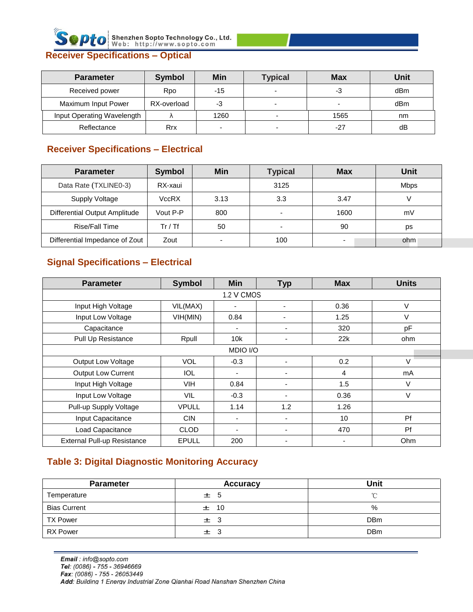

| <b>Parameter</b>           | <b>Symbol</b> | Min   | <b>Typical</b>           | <b>Max</b>               | Unit |
|----------------------------|---------------|-------|--------------------------|--------------------------|------|
| Received power             | Rpo           | $-15$ | $\overline{\phantom{0}}$ | -3                       | dBm  |
| Maximum Input Power        | RX-overload   | -3    | $\overline{\phantom{0}}$ | $\overline{\phantom{0}}$ | dBm  |
| Input Operating Wavelength |               | 1260  |                          | 1565                     | nm   |
| Reflectance                | Rrx           |       |                          | $-27$                    | dB   |

### **Receiver Specifications – Electrical**

| <b>Parameter</b>               | <b>Symbol</b> | Min                      | <b>Typical</b>           | <b>Max</b>               | Unit        |
|--------------------------------|---------------|--------------------------|--------------------------|--------------------------|-------------|
| Data Rate (TXLINE0-3)          | RX-xaui       |                          | 3125                     |                          | <b>Mbps</b> |
| <b>Supply Voltage</b>          | VccRX         | 3.13                     | 3.3                      | 3.47                     |             |
| Differential Output Amplitude  | Vout P-P      | 800                      | $\overline{\phantom{a}}$ | 1600                     | mV          |
| Rise/Fall Time                 | Tr / Tf       | 50                       | $\overline{\phantom{a}}$ | 90                       | ps          |
| Differential Impedance of Zout | Zout          | $\overline{\phantom{0}}$ | 100                      | $\overline{\phantom{0}}$ | ohm         |

### **Signal Specifications – Electrical**

| <b>Parameter</b>                   | <b>Symbol</b> | <b>Min</b>               | <b>Typ</b>               | <b>Max</b>     | <b>Units</b> |  |  |
|------------------------------------|---------------|--------------------------|--------------------------|----------------|--------------|--|--|
| 1.2 V CMOS                         |               |                          |                          |                |              |  |  |
| Input High Voltage                 | VIL(MAX)      | $\blacksquare$           |                          | 0.36           | V            |  |  |
| Input Low Voltage                  | VIH(MIN)      | 0.84                     | $\overline{\phantom{0}}$ | 1.25           | V            |  |  |
| Capacitance                        |               | $\overline{\phantom{a}}$ | ٠                        | 320            | pF           |  |  |
| Pull Up Resistance                 | Rpull         | 10k                      |                          | 22k            | ohm          |  |  |
|                                    |               | MDIO I/O                 |                          |                |              |  |  |
| Output Low Voltage                 | <b>VOL</b>    | $-0.3$                   |                          | 0.2            | V            |  |  |
| <b>Output Low Current</b>          | IOL.          | $\overline{\phantom{a}}$ |                          | 4              | mA           |  |  |
| Input High Voltage                 | <b>VIH</b>    | 0.84                     |                          | 1.5            | V            |  |  |
| Input Low Voltage                  | <b>VIL</b>    | $-0.3$                   |                          | 0.36           | V            |  |  |
| Pull-up Supply Voltage             | <b>VPULL</b>  | 1.14                     | 1.2                      | 1.26           |              |  |  |
| Input Capacitance                  | <b>CIN</b>    | $\overline{\phantom{a}}$ |                          | 10             | Pf           |  |  |
| Load Capacitance                   | <b>CLOD</b>   | ٠                        |                          | 470            | Pf           |  |  |
| <b>External Pull-up Resistance</b> | <b>EPULL</b>  | 200                      |                          | $\overline{a}$ | Ohm          |  |  |

### **Table 3: Digital Diagnostic Monitoring Accuracy**

| <b>Parameter</b>    | <b>Accuracy</b> | Unit       |
|---------------------|-----------------|------------|
| Temperature         | ± 5             | $\sim$     |
| <b>Bias Current</b> | $\pm$ 10        | %          |
| <b>TX Power</b>     | $\pm$ 3         | <b>DBm</b> |
| <b>RX Power</b>     | $\pm$ 3         | <b>DBm</b> |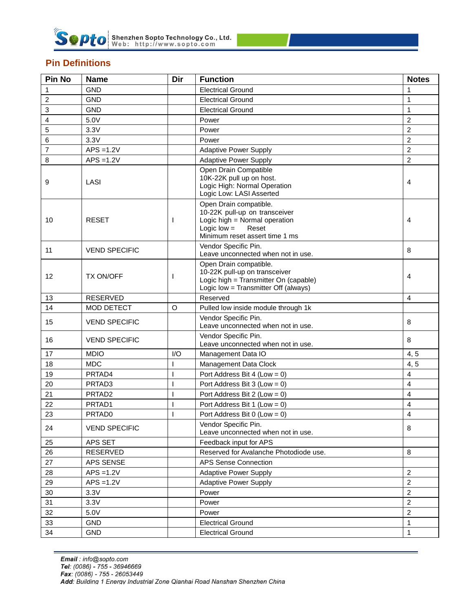

### **Pin Definitions**

| Pin No | <b>Name</b>          | Dir          | <b>Function</b>                                                                                                                                      | <b>Notes</b>   |
|--------|----------------------|--------------|------------------------------------------------------------------------------------------------------------------------------------------------------|----------------|
| 1      | <b>GND</b>           |              | <b>Electrical Ground</b>                                                                                                                             | 1              |
| 2      | <b>GND</b>           |              | <b>Electrical Ground</b>                                                                                                                             | 1              |
| 3      | <b>GND</b>           |              | <b>Electrical Ground</b>                                                                                                                             | $\mathbf{1}$   |
| 4      | 5.0V                 |              | Power                                                                                                                                                | $\overline{c}$ |
| 5      | 3.3V                 |              | Power                                                                                                                                                | $\overline{2}$ |
| 6      | 3.3V                 |              | Power                                                                                                                                                | $\overline{c}$ |
| 7      | $APS = 1.2V$         |              | <b>Adaptive Power Supply</b>                                                                                                                         | $\overline{c}$ |
| 8      | $APS = 1.2V$         |              | <b>Adaptive Power Supply</b>                                                                                                                         | $\overline{2}$ |
| 9      | LASI                 |              | Open Drain Compatible<br>10K-22K pull up on host.<br>Logic High: Normal Operation<br>Logic Low: LASI Asserted                                        | 4              |
| 10     | <b>RESET</b>         | $\mathbf{I}$ | Open Drain compatible.<br>10-22K pull-up on transceiver<br>Logic high = Normal operation<br>Logic $low =$<br>Reset<br>Minimum reset assert time 1 ms | $\overline{4}$ |
| 11     | <b>VEND SPECIFIC</b> |              | Vendor Specific Pin.<br>Leave unconnected when not in use.                                                                                           | 8              |
| 12     | <b>TX ON/OFF</b>     | <sup>1</sup> | Open Drain compatible.<br>10-22K pull-up on transceiver<br>Logic high = Transmitter On (capable)<br>Logic low = Transmitter Off (always)             | 4              |
| 13     | <b>RESERVED</b>      |              | Reserved                                                                                                                                             | $\overline{4}$ |
| 14     | <b>MOD DETECT</b>    | $\circ$      | Pulled low inside module through 1k                                                                                                                  |                |
| 15     | <b>VEND SPECIFIC</b> |              | Vendor Specific Pin.<br>Leave unconnected when not in use.                                                                                           | 8              |
| 16     | <b>VEND SPECIFIC</b> |              | Vendor Specific Pin.<br>Leave unconnected when not in use.                                                                                           | 8              |
| 17     | <b>MDIO</b>          | I/O          | Management Data IO                                                                                                                                   | 4, 5           |
| 18     | <b>MDC</b>           |              | Management Data Clock                                                                                                                                | 4, 5           |
| 19     | PRTAD4               | ı            | Port Address Bit 4 (Low = 0)                                                                                                                         | $\overline{4}$ |
| 20     | PRTAD <sub>3</sub>   | ı            | Port Address Bit 3 (Low = $0$ )                                                                                                                      | $\overline{4}$ |
| 21     | PRTAD <sub>2</sub>   | $\mathbf{I}$ | Port Address Bit 2 (Low = $0$ )                                                                                                                      | 4              |
| 22     | PRTAD1               |              | Port Address Bit 1 (Low = 0)                                                                                                                         | $\overline{4}$ |
| 23     | PRTAD0               |              | Port Address Bit 0 (Low = $0$ )                                                                                                                      | $\overline{4}$ |
| 24     | <b>VEND SPECIFIC</b> |              | Vendor Specific Pin.<br>Leave unconnected when not in use.                                                                                           | 8              |
| 25     | APS SET              |              | Feedback input for APS                                                                                                                               |                |
| 26     | RESERVED             |              | Reserved for Avalanche Photodiode use.                                                                                                               | 8              |
| 27     | APS SENSE            |              | <b>APS Sense Connection</b>                                                                                                                          |                |
| 28     | $APS = 1.2V$         |              | <b>Adaptive Power Supply</b>                                                                                                                         | $\overline{c}$ |
| 29     | $APS = 1.2V$         |              | <b>Adaptive Power Supply</b>                                                                                                                         | $\overline{c}$ |
| 30     | 3.3V                 |              | Power                                                                                                                                                | $\overline{c}$ |
| 31     | 3.3V                 |              | Power                                                                                                                                                | $\overline{c}$ |
| 32     | 5.0V                 |              | Power                                                                                                                                                | $\overline{c}$ |
| 33     | <b>GND</b>           |              | <b>Electrical Ground</b>                                                                                                                             | $\mathbf{1}$   |
| 34     | <b>GND</b>           |              | <b>Electrical Ground</b>                                                                                                                             | $\mathbf{1}$   |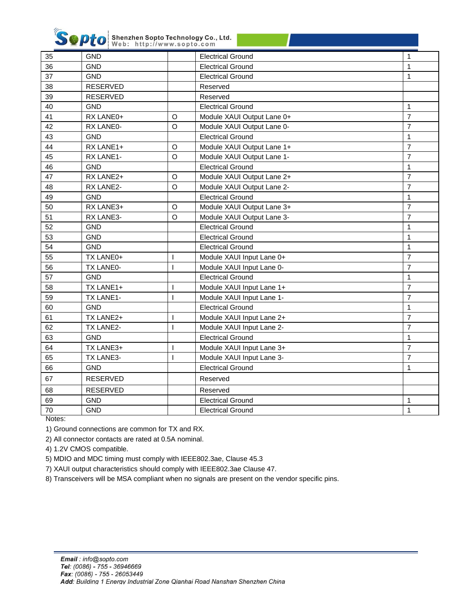

**Septo** Shenzhen Sopto Technology Co., Ltd.

|    | web: http://www.sopto.com |                          |                            |                |
|----|---------------------------|--------------------------|----------------------------|----------------|
| 35 | <b>GND</b>                |                          | <b>Electrical Ground</b>   | $\mathbf{1}$   |
| 36 | <b>GND</b>                |                          | <b>Electrical Ground</b>   | $\mathbf{1}$   |
| 37 | <b>GND</b>                |                          | <b>Electrical Ground</b>   | $\mathbf{1}$   |
| 38 | <b>RESERVED</b>           |                          | Reserved                   |                |
| 39 | <b>RESERVED</b>           |                          | Reserved                   |                |
| 40 | <b>GND</b>                |                          | <b>Electrical Ground</b>   | $\mathbf{1}$   |
| 41 | RX LANE0+                 | $\circ$                  | Module XAUI Output Lane 0+ | $\overline{7}$ |
| 42 | RX LANE0-                 | $\circ$                  | Module XAUI Output Lane 0- | $\overline{7}$ |
| 43 | <b>GND</b>                |                          | <b>Electrical Ground</b>   | $\mathbf{1}$   |
| 44 | RX LANE1+                 | $\circ$                  | Module XAUI Output Lane 1+ | $\overline{7}$ |
| 45 | RX LANE1-                 | $\circ$                  | Module XAUI Output Lane 1- | $\overline{7}$ |
| 46 | <b>GND</b>                |                          | <b>Electrical Ground</b>   | $\mathbf{1}$   |
| 47 | RX LANE2+                 | $\circ$                  | Module XAUI Output Lane 2+ | $\overline{7}$ |
| 48 | RX LANE2-                 | $\circ$                  | Module XAUI Output Lane 2- | $\overline{7}$ |
| 49 | <b>GND</b>                |                          | <b>Electrical Ground</b>   | $\mathbf{1}$   |
| 50 | RX LANE3+                 | $\circ$                  | Module XAUI Output Lane 3+ | $\overline{7}$ |
| 51 | RX LANE3-                 | $\circ$                  | Module XAUI Output Lane 3- | $\overline{7}$ |
| 52 | <b>GND</b>                |                          | <b>Electrical Ground</b>   | $\mathbf{1}$   |
| 53 | <b>GND</b>                |                          | <b>Electrical Ground</b>   | $\mathbf{1}$   |
| 54 | <b>GND</b>                |                          | <b>Electrical Ground</b>   | $\mathbf{1}$   |
| 55 | TX LANE0+                 | $\mathbf{I}$             | Module XAUI Input Lane 0+  | $\overline{7}$ |
| 56 | TX LANE0-                 | $\mathbf{I}$             | Module XAUI Input Lane 0-  | $\overline{7}$ |
| 57 | <b>GND</b>                |                          | <b>Electrical Ground</b>   | $\mathbf{1}$   |
| 58 | TX LANE1+                 | $\mathbf{I}$             | Module XAUI Input Lane 1+  | $\overline{7}$ |
| 59 | TX LANE1-                 | $\mathbf{I}$             | Module XAUI Input Lane 1-  | $\overline{7}$ |
| 60 | <b>GND</b>                |                          | <b>Electrical Ground</b>   | $\mathbf{1}$   |
| 61 | TX LANE2+                 | $\mathbf{I}$             | Module XAUI Input Lane 2+  | $\overline{7}$ |
| 62 | TX LANE2-                 | $\overline{1}$           | Module XAUI Input Lane 2-  | $\overline{7}$ |
| 63 | <b>GND</b>                |                          | <b>Electrical Ground</b>   | $\mathbf{1}$   |
| 64 | TX LANE3+                 | $\overline{1}$           | Module XAUI Input Lane 3+  | $\overline{7}$ |
| 65 | TX LANE3-                 | $\overline{\phantom{a}}$ | Module XAUI Input Lane 3-  | $\overline{7}$ |
| 66 | <b>GND</b>                |                          | <b>Electrical Ground</b>   | $\mathbf{1}$   |
| 67 | <b>RESERVED</b>           |                          | Reserved                   |                |
| 68 | <b>RESERVED</b>           |                          | Reserved                   |                |
| 69 | <b>GND</b>                |                          | <b>Electrical Ground</b>   | 1              |
| 70 | <b>GND</b>                |                          | <b>Electrical Ground</b>   | $\mathbf{1}$   |
|    |                           |                          |                            |                |

Notes:

1) Ground connections are common for TX and RX.

2) All connector contacts are rated at 0.5A nominal.

4) 1.2V CMOS compatible.

5) MDIO and MDC timing must comply with IEEE802.3ae, Clause 45.3

7) XAUI output characteristics should comply with IEEE802.3ae Clause 47.

8) Transceivers will be MSA compliant when no signals are present on the vendor specific pins.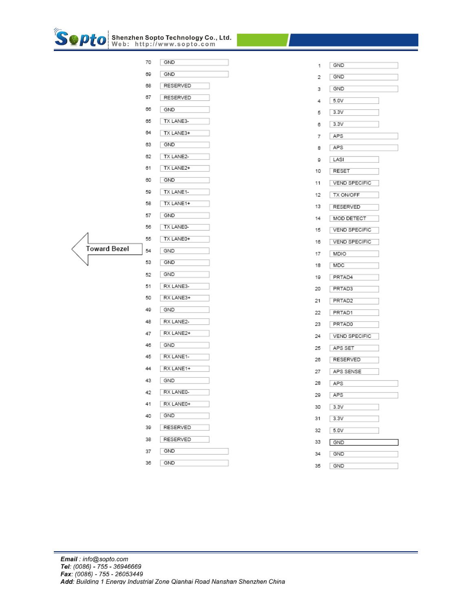

|              | 70 | GND       |
|--------------|----|-----------|
|              | 69 | GND       |
|              | 68 | RESERVED  |
|              | 67 | RESERVED  |
|              | 66 | GND       |
|              | 65 | TX LANE3- |
|              | 64 | TX LANE3+ |
|              | 63 | GND       |
|              | 62 | TX LANE2- |
|              | 61 | TX LANE2+ |
|              | 60 | GND       |
|              | 59 | TX LANE1- |
|              | 58 | TX LANE1+ |
|              | 57 | GND       |
|              | 56 | TX LANED- |
|              | 55 | TX LANE0+ |
| Toward Bezel | 54 | GND       |
|              | 53 | GND       |
|              | 52 | GND       |
|              | 51 | RX LANE3- |
|              | 50 | RX LANE3+ |
|              | 49 | GND       |
|              | 48 | RX LANE2- |
|              | 47 | RX LANE2+ |
|              | 46 | GND       |
|              | 45 | RX LANE1- |
|              | 44 | RX LANE1+ |
|              | 43 | GND       |
|              | 42 | RX LANE0- |
|              | 41 | RX LANE0+ |
|              | 40 | GND       |
|              | 39 | RESERVED  |
|              | 38 | RESERVED  |
|              | 37 | GND       |
|              | 36 | GND       |

| 1  | GND                  |
|----|----------------------|
| 2  | GND                  |
| 3  | GND                  |
| 4  | 5.0V                 |
| 5  | 3.3V                 |
| 6  | 3.3V                 |
| 7  | APS                  |
| 8  | APS                  |
| 9  | LASI                 |
| 10 | RESET                |
| 11 | <b>VEND SPECIFIC</b> |
| 12 | TX ON/OFF            |
| 13 | RESERVED             |
| 14 | MOD DETECT           |
| 15 | VEND SPECIFIC        |
| 16 | <b>VEND SPECIFIC</b> |
| 17 | MDIO                 |
| 18 | MDC                  |
| 19 | PRTAD4               |
| 20 | PRTAD3               |
| 21 | PRTAD2               |
| 22 | PRTAD1               |
| 23 | PRTAD0               |
| 24 | VEND SPECIFIC        |
| 25 | APS SET              |
| 26 | RESERVED             |
| 27 | APS SENSE            |
| 28 | APS                  |
| 29 | APS                  |
| 30 | 3.3V                 |
| 31 | 3.3V                 |
| 32 | 5.0V                 |
| 33 | GND                  |
| 34 | GND                  |
| 35 | GND                  |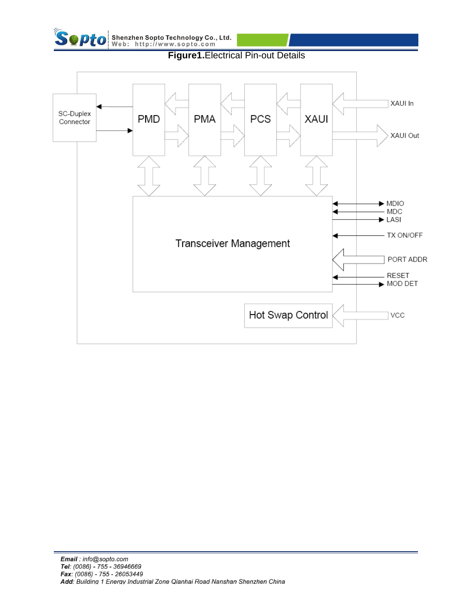



**Figure1.**Electrical Pin-out Details